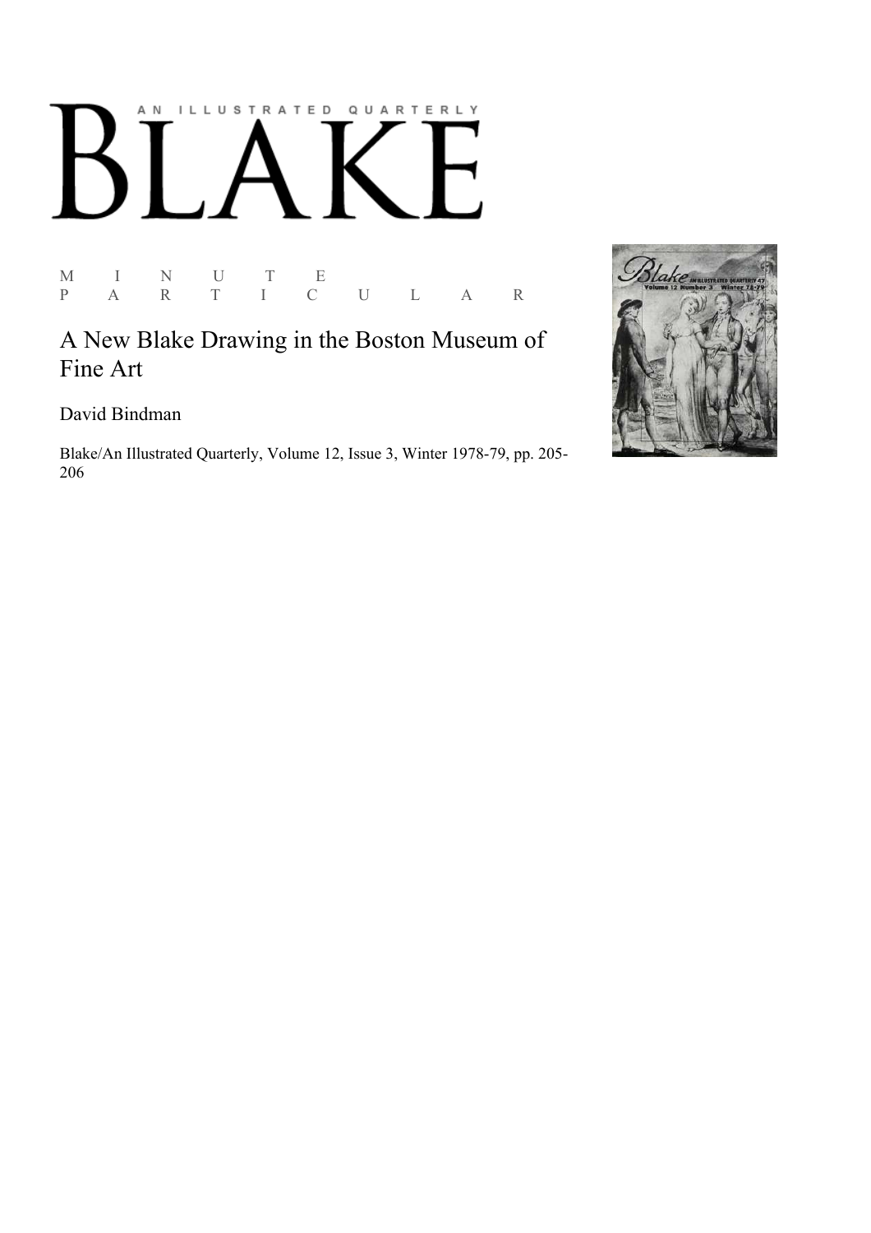## AN ILLUSTRATED QUARTERLY  $\mathbf{L}$ Ӄ

M I N U T E<br>P A R T I C P A R T I C U L A R

A New Blake Drawing in the Boston Museum of Fine Art

David Bindman

Blake/An Illustrated Quarterly, Volume 12, Issue 3, Winter 1978-79, pp. 205-206

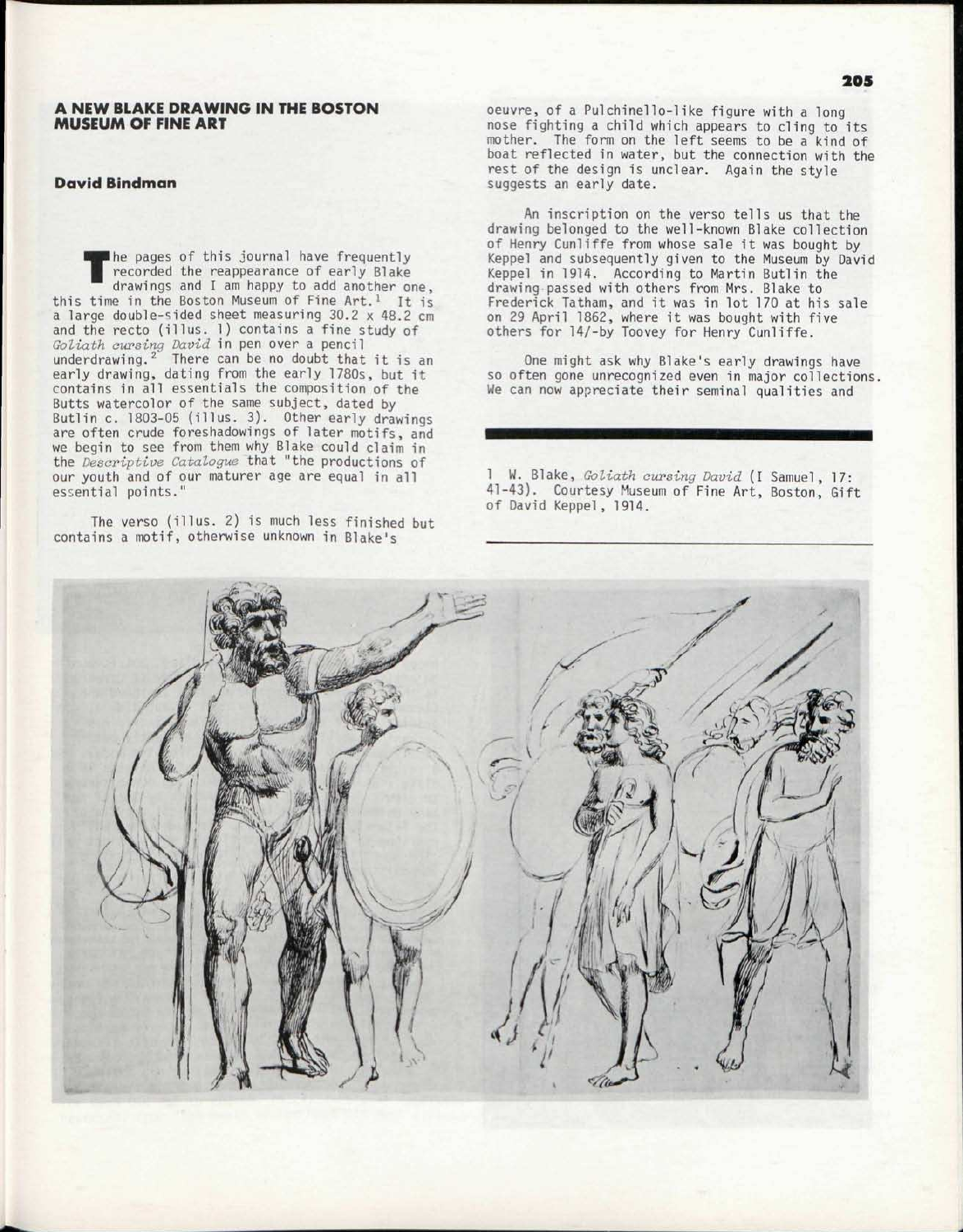## A NEW BLAKE DRAWING IN THE BOSTON MUSEUM OF FINE ART

## David Bindman

T he pages of this journal have frequently recorded the reappearance of early Blake drawings and I am happy to add another one, this time in the Boston Museum of Fine Art.<sup>1</sup> It is a large double-sided sheet measuring 30.2 x 48.2 cm and the recto (illus. 1) contains a fine study of *Goliath cursing David* in pen over a pencil<br>underdrawing.<sup>2</sup> There can be no doubt that it is an early drawing, dating from the early 1780s, but it contains in all essentials the composition of the Butts watercolor of the same subject, dated by Butlin c. 1803-05 (illus. 3). Other early drawings are often crude foreshadowings of later motifs, and we begin to see from them why Blake could claim in the *Descriptive Catalogue* that "the productions of our youth and of our maturer age are equal in all essential points."

The verso (illus. 2) is much less finished but contains a motif, otherwise unknown in Blake's

oeuvre, of a Pulchinello-1ike figure with a long nose fighting a child which appears to cling to its mother. The form on the left seems to be a kind of boat reflected in water, but the connection with the rest of the design is unclear. Again the style suggests an early date.

An inscription on the verso tells us that the drawing belonged to the well-known Blake collection of Henry Cunliffe from whose sale it was bought by Keppel and subsequently given to the Museum by David Keppel in 1914. According to Martin Butlin the drawing passed with others from Mrs. Blake to Frederick Tatham, and it was in lot 170 at his sale on 29 April 1862, where it was bought with five others for 14/-by Toovey for Henry Cunliffe.

One might ask why Blake's early drawings have so often gone unrecognized even in major collections, We can now appreciate their seminal qualities and

1 W. Blake, *Goliath cursing David* (I Samuel, 17: 41-43). Courtesy Museum of Fine Art, Boston, Gift of David Keppel , 1914.